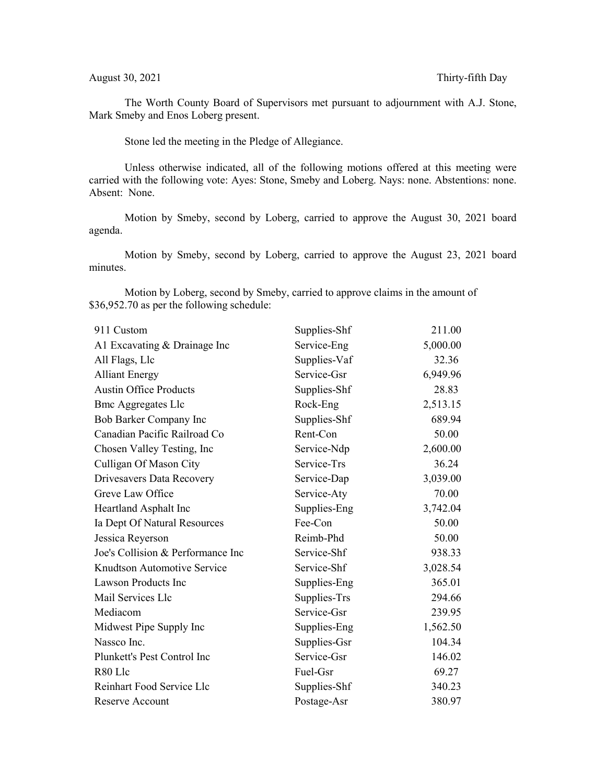The Worth County Board of Supervisors met pursuant to adjournment with A.J. Stone, Mark Smeby and Enos Loberg present.

Stone led the meeting in the Pledge of Allegiance.

Unless otherwise indicated, all of the following motions offered at this meeting were carried with the following vote: Ayes: Stone, Smeby and Loberg. Nays: none. Abstentions: none. Absent: None.

Motion by Smeby, second by Loberg, carried to approve the August 30, 2021 board agenda.

Motion by Smeby, second by Loberg, carried to approve the August 23, 2021 board minutes.

Motion by Loberg, second by Smeby, carried to approve claims in the amount of \$36,952.70 as per the following schedule:

| 911 Custom                        | Supplies-Shf | 211.00   |
|-----------------------------------|--------------|----------|
| A1 Excavating & Drainage Inc      | Service-Eng  | 5,000.00 |
| All Flags, Llc                    | Supplies-Vaf | 32.36    |
| <b>Alliant Energy</b>             | Service-Gsr  | 6,949.96 |
| <b>Austin Office Products</b>     | Supplies-Shf | 28.83    |
| <b>Bmc Aggregates Llc</b>         | Rock-Eng     | 2,513.15 |
| Bob Barker Company Inc            | Supplies-Shf | 689.94   |
| Canadian Pacific Railroad Co      | Rent-Con     | 50.00    |
| Chosen Valley Testing, Inc        | Service-Ndp  | 2,600.00 |
| Culligan Of Mason City            | Service-Trs  | 36.24    |
| Drivesavers Data Recovery         | Service-Dap  | 3,039.00 |
| Greve Law Office                  | Service-Aty  | 70.00    |
| Heartland Asphalt Inc             | Supplies-Eng | 3,742.04 |
| Ia Dept Of Natural Resources      | Fee-Con      | 50.00    |
| Jessica Reyerson                  | Reimb-Phd    | 50.00    |
| Joe's Collision & Performance Inc | Service-Shf  | 938.33   |
| Knudtson Automotive Service       | Service-Shf  | 3,028.54 |
| <b>Lawson Products Inc</b>        | Supplies-Eng | 365.01   |
| Mail Services Llc                 | Supplies-Trs | 294.66   |
| Mediacom                          | Service-Gsr  | 239.95   |
| Midwest Pipe Supply Inc           | Supplies-Eng | 1,562.50 |
| Nassco Inc.                       | Supplies-Gsr | 104.34   |
| Plunkett's Pest Control Inc       | Service-Gsr  | 146.02   |
| R80 Llc                           | Fuel-Gsr     | 69.27    |
| Reinhart Food Service Llc         | Supplies-Shf | 340.23   |
| Reserve Account                   | Postage-Asr  | 380.97   |
|                                   |              |          |